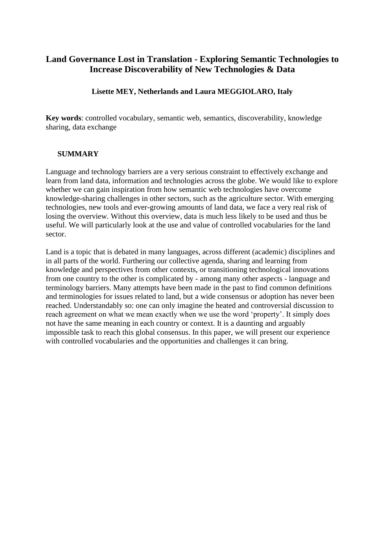# **Land Governance Lost in Translation - Exploring Semantic Technologies to Increase Discoverability of New Technologies & Data**

# **Lisette MEY, Netherlands and Laura MEGGIOLARO, Italy**

**Key words**: controlled vocabulary, semantic web, semantics, discoverability, knowledge sharing, data exchange

# **SUMMARY**

Language and technology barriers are a very serious constraint to effectively exchange and learn from land data, information and technologies across the globe. We would like to explore whether we can gain inspiration from how semantic web technologies have overcome knowledge-sharing challenges in other sectors, such as the agriculture sector. With emerging technologies, new tools and ever-growing amounts of land data, we face a very real risk of losing the overview. Without this overview, data is much less likely to be used and thus be useful. We will particularly look at the use and value of controlled vocabularies for the land sector.

Land is a topic that is debated in many languages, across different (academic) disciplines and in all parts of the world. Furthering our collective agenda, sharing and learning from knowledge and perspectives from other contexts, or transitioning technological innovations from one country to the other is complicated by - among many other aspects - language and terminology barriers. Many attempts have been made in the past to find common definitions and terminologies for issues related to land, but a wide consensus or adoption has never been reached. Understandably so: one can only imagine the heated and controversial discussion to reach agreement on what we mean exactly when we use the word 'property'. It simply does not have the same meaning in each country or context. It is a daunting and arguably impossible task to reach this global consensus. In this paper, we will present our experience with controlled vocabularies and the opportunities and challenges it can bring.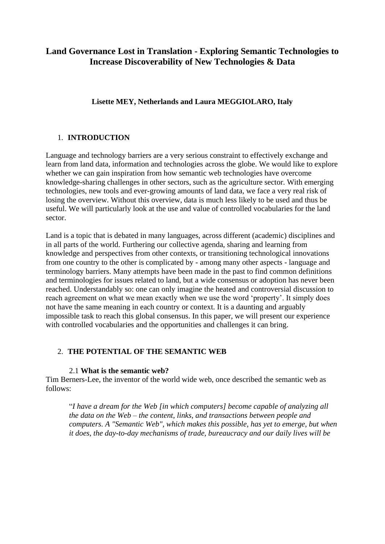# **Land Governance Lost in Translation - Exploring Semantic Technologies to Increase Discoverability of New Technologies & Data**

# **Lisette MEY, Netherlands and Laura MEGGIOLARO, Italy**

# 1. **INTRODUCTION**

Language and technology barriers are a very serious constraint to effectively exchange and learn from land data, information and technologies across the globe. We would like to explore whether we can gain inspiration from how semantic web technologies have overcome knowledge-sharing challenges in other sectors, such as the agriculture sector. With emerging technologies, new tools and ever-growing amounts of land data, we face a very real risk of losing the overview. Without this overview, data is much less likely to be used and thus be useful. We will particularly look at the use and value of controlled vocabularies for the land sector.

Land is a topic that is debated in many languages, across different (academic) disciplines and in all parts of the world. Furthering our collective agenda, sharing and learning from knowledge and perspectives from other contexts, or transitioning technological innovations from one country to the other is complicated by - among many other aspects - language and terminology barriers. Many attempts have been made in the past to find common definitions and terminologies for issues related to land, but a wide consensus or adoption has never been reached. Understandably so: one can only imagine the heated and controversial discussion to reach agreement on what we mean exactly when we use the word 'property'. It simply does not have the same meaning in each country or context. It is a daunting and arguably impossible task to reach this global consensus. In this paper, we will present our experience with controlled vocabularies and the opportunities and challenges it can bring.

# 2. **THE POTENTIAL OF THE SEMANTIC WEB**

#### 2.1 **What is the semantic web?**

Tim Berners-Lee, the inventor of the world wide web, once described the semantic web as follows:

"*I have a dream for the Web [in which computers] become capable of analyzing all the data on the Web – the content, links, and transactions between people and computers. A "Semantic Web", which makes this possible, has yet to emerge, but when it does, the day-to-day mechanisms of trade, bureaucracy and our daily lives will be*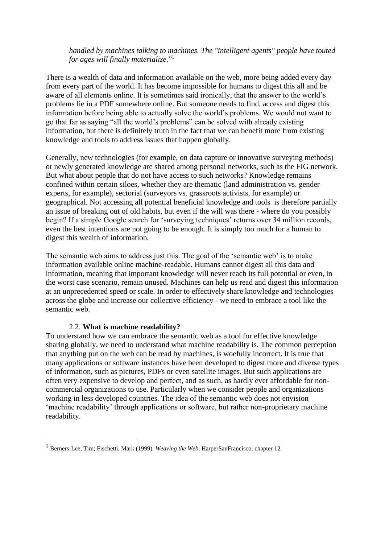#### *handled by machines talking to machines. The "intelligent agents" people have touted for ages will finally materialize*."<sup>1</sup>

There is a wealth of data and information available on the web, more being added every day from every part of the world. It has become impossible for humans to digest this all and be aware of all elements online. It is sometimes said ironically, that the answer to the world's problems lie in a PDF somewhere online. But someone needs to find, access and digest this information before being able to actually solve the world's problems. We would not want to go that far as saying "all the world's problems" can be solved with already existing information, but there is definitely truth in the fact that we can benefit more from existing knowledge and tools to address issues that happen globally.

Generally, new technologies (for example, on data capture or innovative surveying methods) or newly generated knowledge are shared among personal networks, such as the FIG network. But what about people that do not have access to such networks? Knowledge remains confined within certain siloes, whether they are thematic (land administration vs. gender experts, for example), sectorial (surveyors vs. grassroots activists, for example) or geographical. Not accessing all potential beneficial knowledge and tools is therefore partially an issue of breaking out of old habits, but even if the will was there - where do you possibly begin? If a simple Google search for 'surveying techniques' returns over 34 million records, even the best intentions are not going to be enough. It is simply too much for a human to digest this wealth of information.

The semantic web aims to address just this. The goal of the 'semantic web' is to make information available online machine-readable. Humans cannot digest all this data and information, meaning that important knowledge will never reach its full potential or even, in the worst case scenario, remain unused. Machines can help us read and digest this information at an unprecedented speed or scale. In order to effectively share knowledge and technologies across the globe and increase our collective efficiency - we need to embrace a tool like the semantic web.

#### 2.2. **What is machine readability?**

To understand how we can embrace the semantic web as a tool for effective knowledge sharing globally, we need to understand what machine readability is. The common perception that anything put on the web can be read by machines, is woefully incorrect. It is true that many applications or software instances have been developed to digest more and diverse types of information, such as pictures, PDFs or even satellite images. But such applications are often very expensive to develop and perfect, and as such, as hardly ever affordable for noncommercial organizations to use. Particularly when we consider people and organizations working in less developed countries. The idea of the semantic web does not envision 'machine readability' through applications or software, but rather non-proprietary machine readability.

<sup>1</sup> Berners-Lee, Tim; Fischetti, Mark (1999). *[Weaving the Web](https://en.wikipedia.org/wiki/Tim_Berners_Lee#Weaving_the_Web)*[. HarperSanFrancisco.](https://en.wikipedia.org/wiki/HarperSanFrancisco) [chapter 12.](https://archive.org/details/isbn_9780062515872/page/)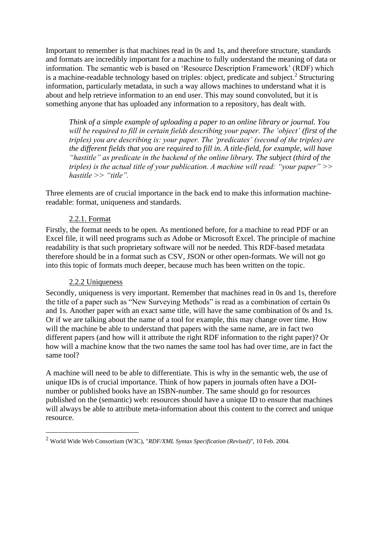Important to remember is that machines read in 0s and 1s, and therefore structure, standards and formats are incredibly important for a machine to fully understand the meaning of data or information. The semantic web is based on 'Resource Description Framework' (RDF) which is a machine-readable technology based on triples: object, predicate and subject.<sup>2</sup> Structuring information, particularly metadata, in such a way allows machines to understand what it is about and help retrieve information to an end user. This may sound convoluted, but it is something anyone that has uploaded any information to a repository, has dealt with.

*Think of a simple example of uploading a paper to an online library or journal. You will be required to fill in certain fields describing your paper. The 'object' (first of the triples) you are describing is: your paper. The 'predicates' (second of the triples) are the different fields that you are required to fill in. A title-field, for example, will have "hastitle" as predicate in the backend of the online library. The subject (third of the triples) is the actual title of your publication. A machine will read: "your paper" >> hastitle >> "title".* 

Three elements are of crucial importance in the back end to make this information machinereadable: format, uniqueness and standards.

# 2.2.1. Format

Firstly, the format needs to be open. As mentioned before, for a machine to read PDF or an Excel file, it will need programs such as Adobe or Microsoft Excel. The principle of machine readability is that such proprietary software will *not* be needed. This RDF-based metadata therefore should be in a format such as CSV, JSON or other open-formats. We will not go into this topic of formats much deeper, because much has been written on the topic.

# 2.2.2 Uniqueness

Secondly, uniqueness is very important. Remember that machines read in 0s and 1s, therefore the title of a paper such as "New Surveying Methods" is read as a combination of certain 0s and 1s. Another paper with an exact same title, will have the same combination of 0s and 1s. Or if we are talking about the name of a tool for example, this may change over time. How will the machine be able to understand that papers with the same name, are in fact two different papers (and how will it attribute the right RDF information to the right paper)? Or how will a machine know that the two names the same tool has had over time, are in fact the same tool?

A machine will need to be able to differentiate. This is why in the semantic web, the use of unique IDs is of crucial importance. Think of how papers in journals often have a DOInumber or published books have an ISBN-number. The same should go for resources published on the (semantic) web: resources should have a unique ID to ensure that machines will always be able to attribute meta-information about this content to the correct and unique resource.

<sup>2</sup> World Wide Web Consortium (W3C), "*RDF/XML Syntax Specification (Revised)*", 10 Feb. 2004.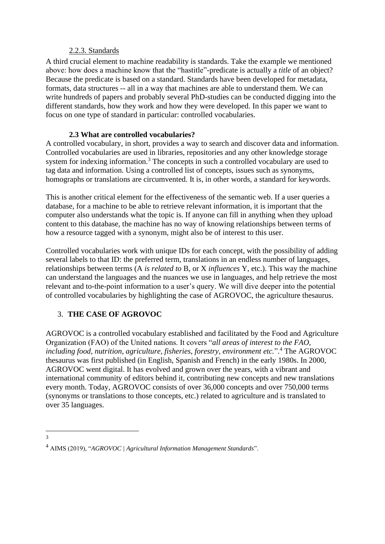#### 2.2.3. Standards

A third crucial element to machine readability is standards. Take the example we mentioned above: how does a machine know that the "hastitle"-predicate is actually a *title* of an object? Because the predicate is based on a standard. Standards have been developed for metadata, formats, data structures -- all in a way that machines are able to understand them. We can write hundreds of papers and probably several PhD-studies can be conducted digging into the different standards, how they work and how they were developed. In this paper we want to focus on one type of standard in particular: controlled vocabularies.

# **2.3 What are controlled vocabularies?**

A controlled vocabulary, in short, provides a way to search and discover data and information. Controlled vocabularies are used in libraries, repositories and any other knowledge storage system for indexing information.<sup>3</sup> The concepts in such a controlled vocabulary are used to tag data and information. Using a controlled list of concepts, issues such as synonyms, homographs or translations are circumvented. It is, in other words, a standard for keywords.

This is another critical element for the effectiveness of the semantic web. If a user queries a database, for a machine to be able to retrieve relevant information, it is important that the computer also understands what the topic is. If anyone can fill in anything when they upload content to this database, the machine has no way of knowing relationships between terms of how a resource tagged with a synonym, might also be of interest to this user.

Controlled vocabularies work with unique IDs for each concept, with the possibility of adding several labels to that ID: the preferred term, translations in an endless number of languages, relationships between terms (A *is related to* B, or X *influences* Y, etc.). This way the machine can understand the languages and the nuances we use in languages, and help retrieve the most relevant and to-the-point information to a user's query. We will dive deeper into the potential of controlled vocabularies by highlighting the case of AGROVOC, the agriculture thesaurus.

# 3. **THE CASE OF AGROVOC**

AGROVOC is a controlled vocabulary established and facilitated by the Food and Agriculture Organization (FAO) of the United nations. It covers "*all areas of interest to the FAO, including food, nutrition, agriculture, fisheries, forestry, environment etc.*". <sup>4</sup> The AGROVOC thesaurus was first published (in English, Spanish and French) in the early 1980s. In 2000, AGROVOC went digital. It has evolved and grown over the years, with a vibrant and international community of editors behind it, contributing new concepts and new translations every month. Today, AGROVOC consists of over 36,000 concepts and over 750,000 terms (synonyms or translations to those concepts, etc.) related to agriculture and is translated to over 35 languages.

3

<sup>4</sup> AIMS (2019), "*AGROVOC | Agricultural Information Management Standards*".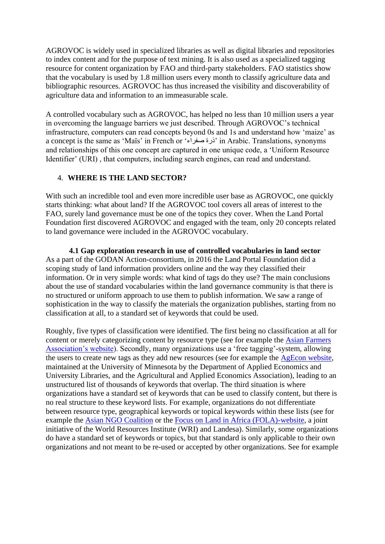AGROVOC is widely used in specialized libraries as well as digital libraries and repositories to index content and for the purpose of text mining. It is also used as a specialized tagging resource for content organization by FAO and third-party stakeholders. FAO statistics show that the vocabulary is used by 1.8 million users every month to classify agriculture data and bibliographic resources. AGROVOC has thus increased the visibility and discoverability of agriculture data and information to an immeasurable scale.

A controlled vocabulary such as AGROVOC, has helped no less than 10 million users a year in overcoming the language barriers we just described. Through AGROVOC's technical infrastructure, computers can read concepts beyond 0s and 1s and understand how 'maize' as a concept is the same as 'Maïs' in French or 'ذرة صفراء 'in Arabic. Translations, synonyms and relationships of this one concept are captured in one unique code, a 'Uniform Resource Identifier' (URI) , that computers, including search engines, can read and understand.

# 4. **WHERE IS THE LAND SECTOR?**

With such an incredible tool and even more incredible user base as AGROVOC, one quickly starts thinking: what about land? If the AGROVOC tool covers all areas of interest to the FAO, surely land governance must be one of the topics they cover. When the Land Portal Foundation first discovered AGROVOC and engaged with the team, only 20 concepts related to land governance were included in the AGROVOC vocabulary.

**4.1 Gap exploration research in use of controlled vocabularies in land sector** As a part of the GODAN Action-consortium, in 2016 the Land Portal Foundation did a scoping study of land information providers online and the way they classified their information. Or in very simple words: what kind of tags do they use? The main conclusions about the use of standard vocabularies within the land governance community is that there is no structured or uniform approach to use them to publish information. We saw a range of sophistication in the way to classify the materials the organization publishes, starting from no classification at all, to a standard set of keywords that could be used.

Roughly, five types of classification were identified. The first being no classification at all for content or merely categorizing content by resource type (see for example the [Asian Farmers](http://asianfarmers.org/?page_id=2646)  [Association's website\)](http://asianfarmers.org/?page_id=2646). Secondly, many organizations use a 'free tagging'-system, allowing the users to create new tags as they add new resources (see for example the [AgEcon website,](http://ageconsearch.umn.edu/handle/245888) maintained at the University of Minnesota by the Department of Applied Economics and University Libraries, and the Agricultural and Applied Economics Association), leading to an unstructured list of thousands of keywords that overlap. The third situation is where organizations have a standard set of keywords that can be used to classify content, but there is no real structure to these keyword lists. For example, organizations do not differentiate between resource type, geographical keywords or topical keywords within these lists (see for example the [Asian NGO Coalition](http://www.angoc.org/tag/vggt/) or the [Focus on Land in Africa \(FOLA\)-website,](http://www.focusonland.com/tags/) a joint initiative of the World Resources Institute (WRI) and Landesa). Similarly, some organizations do have a standard set of keywords or topics, but that standard is only applicable to their own organizations and not meant to be re-used or accepted by other organizations. See for example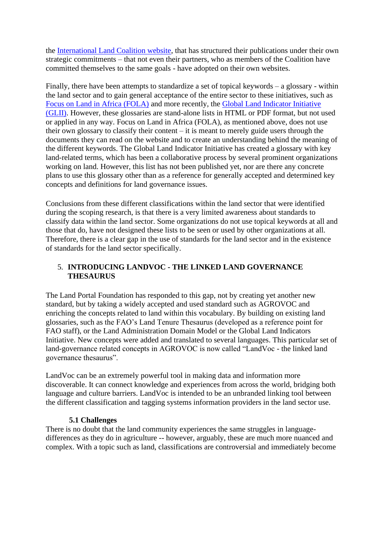the [International Land Coalition website,](http://www.landcoalition.org/en/resources) that has structured their publications under their own strategic commitments – that not even their partners, who as members of the Coalition have committed themselves to the same goals - have adopted on their own websites.

Finally, there have been attempts to standardize a set of topical keywords – a glossary - within the land sector and to gain general acceptance of the entire sector to these initiatives, such as [Focus on Land in Africa \(FOLA\)](http://www.focusonland.com/resources/glossary/) and more recently, the [Global Land Indicator Initiative](http://www.gltn.net/index.php/our-news/gltn-news/363-the-global-land-indicator-initiative)  [\(GLII\).](http://www.gltn.net/index.php/our-news/gltn-news/363-the-global-land-indicator-initiative) However, these glossaries are stand-alone lists in HTML or PDF format, but not used or applied in any way. Focus on Land in Africa (FOLA), as mentioned above, does not use their own glossary to classify their content – it is meant to merely guide users through the documents they can read on the website and to create an understanding behind the meaning of the different keywords. The Global Land Indicator Initiative has created a glossary with key land-related terms, which has been a collaborative process by several prominent organizations working on land. However, this list has not been published yet, nor are there any concrete plans to use this glossary other than as a reference for generally accepted and determined key concepts and definitions for land governance issues.

Conclusions from these different classifications within the land sector that were identified during the scoping research, is that there is a very limited awareness about standards to classify data within the land sector. Some organizations do not use topical keywords at all and those that do, have not designed these lists to be seen or used by other organizations at all. Therefore, there is a clear gap in the use of standards for the land sector and in the existence of standards for the land sector specifically.

# 5. **INTRODUCING LANDVOC - THE LINKED LAND GOVERNANCE THESAURUS**

The Land Portal Foundation has responded to this gap, not by creating yet another new standard, but by taking a widely accepted and used standard such as AGROVOC and enriching the concepts related to land within this vocabulary. By building on existing land glossaries, such as the FAO's Land Tenure Thesaurus (developed as a reference point for FAO staff), or the Land Administration Domain Model or the Global Land Indicators Initiative. New concepts were added and translated to several languages. This particular set of land-governance related concepts in AGROVOC is now called "LandVoc - the linked land governance thesaurus".

LandVoc can be an extremely powerful tool in making data and information more discoverable. It can connect knowledge and experiences from across the world, bridging both language and culture barriers. LandVoc is intended to be an unbranded linking tool between the different classification and tagging systems information providers in the land sector use.

# **5.1 Challenges**

There is no doubt that the land community experiences the same struggles in languagedifferences as they do in agriculture -- however, arguably, these are much more nuanced and complex. With a topic such as land, classifications are controversial and immediately become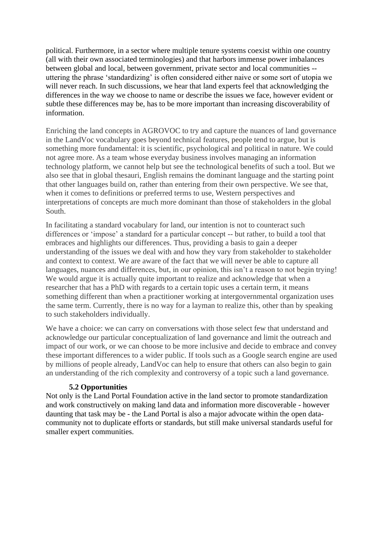political. Furthermore, in a sector where multiple tenure systems coexist within one country (all with their own associated terminologies) and that harbors immense power imbalances between global and local, between government, private sector and local communities - uttering the phrase 'standardizing' is often considered either naive or some sort of utopia we will never reach. In such discussions, we hear that land experts feel that acknowledging the differences in the way we choose to name or describe the issues we face, however evident or subtle these differences may be, has to be more important than increasing discoverability of information.

Enriching the land concepts in AGROVOC to try and capture the nuances of land governance in the LandVoc vocabulary goes beyond technical features, people tend to argue, but is something more fundamental: it is scientific, psychological and political in nature. We could not agree more. As a team whose everyday business involves managing an information technology platform, we cannot help but see the technological benefits of such a tool. But we also see that in global thesauri, English remains the dominant language and the starting point that other languages build on, rather than entering from their own perspective. We see that, when it comes to definitions or preferred terms to use, Western perspectives and interpretations of concepts are much more dominant than those of stakeholders in the global South.

In facilitating a standard vocabulary for land, our intention is not to counteract such differences or 'impose' a standard for a particular concept -- but rather, to build a tool that embraces and highlights our differences. Thus, providing a basis to gain a deeper understanding of the issues we deal with and how they vary from stakeholder to stakeholder and context to context. We are aware of the fact that we will never be able to capture all languages, nuances and differences, but, in our opinion, this isn't a reason to not begin trying! We would argue it is actually quite important to realize and acknowledge that when a researcher that has a PhD with regards to a certain topic uses a certain term, it means something different than when a practitioner working at intergovernmental organization uses the same term. Currently, there is no way for a layman to realize this, other than by speaking to such stakeholders individually.

We have a choice: we can carry on conversations with those select few that understand and acknowledge our particular conceptualization of land governance and limit the outreach and impact of our work, or we can choose to be more inclusive and decide to embrace and convey these important differences to a wider public. If tools such as a Google search engine are used by millions of people already, LandVoc can help to ensure that others can also begin to gain an understanding of the rich complexity and controversy of a topic such a land governance.

# **5.2 Opportunities**

Not only is the Land Portal Foundation active in the land sector to promote standardization and work constructively on making land data and information more discoverable - however daunting that task may be - the Land Portal is also a major advocate within the open datacommunity not to duplicate efforts or standards, but still make universal standards useful for smaller expert communities.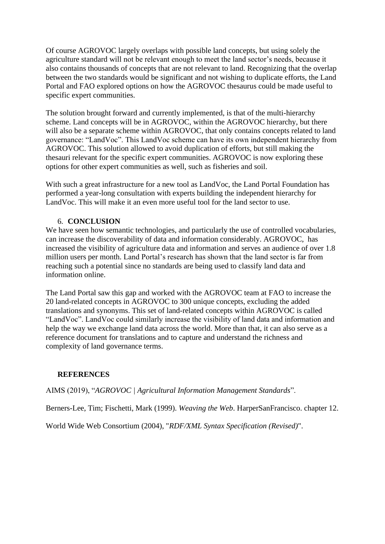Of course AGROVOC largely overlaps with possible land concepts, but using solely the agriculture standard will not be relevant enough to meet the land sector's needs, because it also contains thousands of concepts that are not relevant to land. Recognizing that the overlap between the two standards would be significant and not wishing to duplicate efforts, the Land Portal and FAO explored options on how the AGROVOC thesaurus could be made useful to specific expert communities.

The solution brought forward and currently implemented, is that of the multi-hierarchy scheme. Land concepts will be in AGROVOC, within the AGROVOC hierarchy, but there will also be a separate scheme within AGROVOC, that only contains concepts related to land governance: "LandVoc". This LandVoc scheme can have its own independent hierarchy from AGROVOC. This solution allowed to avoid duplication of efforts, but still making the thesauri relevant for the specific expert communities. AGROVOC is now exploring these options for other expert communities as well, such as fisheries and soil.

With such a great infrastructure for a new tool as LandVoc, the Land Portal Foundation has performed a year-long consultation with experts building the independent hierarchy for LandVoc. This will make it an even more useful tool for the land sector to use.

# 6. **CONCLUSION**

We have seen how semantic technologies, and particularly the use of controlled vocabularies, can increase the discoverability of data and information considerably. AGROVOC, has increased the visibility of agriculture data and information and serves an audience of over 1.8 million users per month. Land Portal's research has shown that the land sector is far from reaching such a potential since no standards are being used to classify land data and information online.

The Land Portal saw this gap and worked with the AGROVOC team at FAO to increase the 20 land-related concepts in AGROVOC to 300 unique concepts, excluding the added translations and synonyms. This set of land-related concepts within AGROVOC is called "LandVoc". LandVoc could similarly increase the visibility of land data and information and help the way we exchange land data across the world. More than that, it can also serve as a reference document for translations and to capture and understand the richness and complexity of land governance terms.

# **REFERENCES**

AIMS (2019), "*AGROVOC | Agricultural Information Management Standards*".

Berners-Lee, Tim; Fischetti, Mark (1999). *[Weaving the Web](https://en.wikipedia.org/wiki/Tim_Berners_Lee#Weaving_the_Web)*. [HarperSanFrancisco.](https://en.wikipedia.org/wiki/HarperSanFrancisco) [chapter 12.](https://archive.org/details/isbn_9780062515872/page/)

World Wide Web Consortium (2004), "*RDF/XML Syntax Specification (Revised)*".